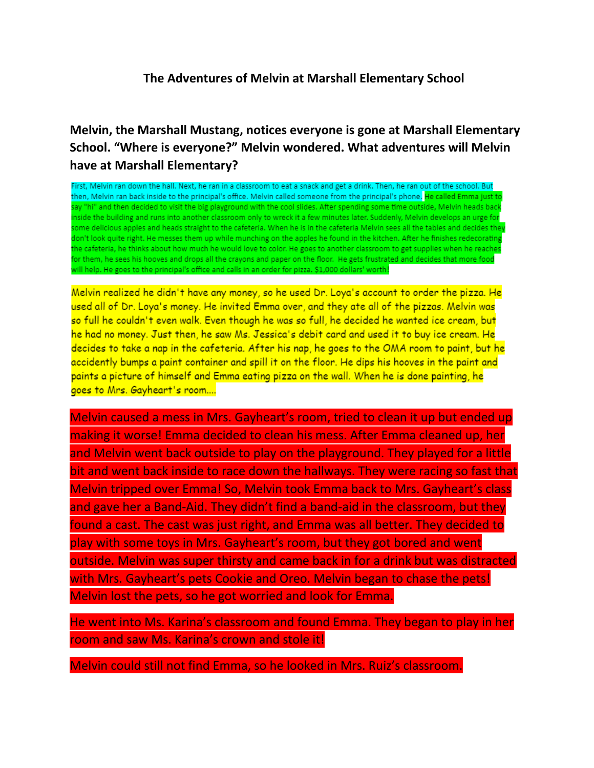## **The Adventures of Melvin at Marshall Elementary School**

## **Melvin, the Marshall Mustang, notices everyone is gone at Marshall Elementary School. "Where is everyone?" Melvin wondered. What adventures will Melvin have at Marshall Elementary?**

First, Melvin ran down the hall. Next, he ran in a classroom to eat a snack and get a drink. Then, he ran out of the school. But then, Melvin ran back inside to the principal's office. Melvin called someone from the principal's phone. He called Emma just to say "hi" and then decided to visit the big playground with the cool slides. After spending some time outside, Melvin heads back inside the building and runs into another classroom only to wreck it a few minutes later. Suddenly, Melvin develops an urge for some delicious apples and heads straight to the cafeteria. When he is in the cafeteria Melvin sees all the tables and decides they don't look quite right. He messes them up while munching on the apples he found in the kitchen. After he finishes redecorating the cafeteria, he thinks about how much he would love to color. He goes to another classroom to get supplies when he reaches for them, he sees his hooves and drops all the crayons and paper on the floor. He gets frustrated and decides that more food will help. He goes to the principal's office and calls in an order for pizza. \$1,000 dollars' worth!

Melvin realized he didn't have any money, so he used Dr. Loya's account to order the pizza. He used all of Dr. Loya's money. He invited Emma over, and they ate all of the pizzas. Melvin was so full he couldn't even walk. Even though he was so full, he decided he wanted ice cream, but he had no money. Just then, he saw Ms. Jessica's debit card and used it to buy ice cream. He decides to take a nap in the cafeteria. After his nap, he goes to the OMA room to paint, but he accidently bumps a paint container and spill it on the floor. He dips his hooves in the paint and paints a picture of himself and Emma eating pizza on the wall. When he is done painting, he goes to Mrs. Gayheart's room....

Melvin caused a mess in Mrs. Gayheart's room, tried to clean it up but ended up making it worse! Emma decided to clean his mess. After Emma cleaned up, her and Melvin went back outside to play on the playground. They played for a little bit and went back inside to race down the hallways. They were racing so fast that Melvin tripped over Emma! So, Melvin took Emma back to Mrs. Gayheart's class and gave her a Band-Aid. They didn't find a band-aid in the classroom, but they found a cast. The cast was just right, and Emma was all better. They decided to play with some toys in Mrs. Gayheart's room, but they got bored and went outside. Melvin was super thirsty and came back in for a drink but was distracted with Mrs. Gayheart's pets Cookie and Oreo. Melvin began to chase the pets! Melvin lost the pets, so he got worried and look for Emma.

He went into Ms. Karina's classroom and found Emma. They began to play in her room and saw Ms. Karina's crown and stole it!

Melvin could still not find Emma, so he looked in Mrs. Ruiz's classroom.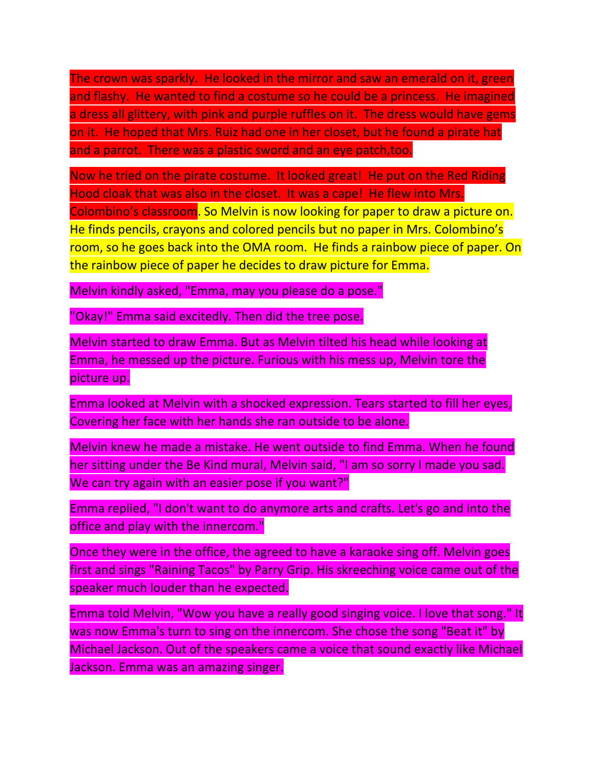The crown was sparkly. He looked in the mirror and saw an emerald on it, green and flashy. He wanted to find a costume so he could be a princess. He imagined a dress all glittery, with pink and purple ruffles on it. The dress would have gems on it. He hoped that Mrs. Ruiz had one in her closet, but he found a pirate hat and a parrot. There was a plastic sword and an eye patch,too.

Now he tried on the pirate costume. It looked great! He put on the Red Riding Hood cloak that was also in the closet. It was a cape! He flew into Mrs. Colombino's classroom. So Melvin is now looking for paper to draw a picture on. He finds pencils, crayons and colored pencils but no paper in Mrs. Colombino's room, so he goes back into the OMA room. He finds a rainbow piece of paper. On the rainbow piece of paper he decides to draw picture for Emma.

Melvin kindly asked, "Emma, may you please do a pose."

"Okay!" Emma said excitedly. Then did the tree pose.

Melvin started to draw Emma. But as Melvin tilted his head while looking at Emma, he messed up the picture. Furious with his mess up, Melvin tore the picture up.

Emma looked at Melvin with a shocked expression. Tears started to fill her eyes, Covering her face with her hands she ran outside to be alone.

Melvin knew he made a mistake. He went outside to find Emma. When he found her sitting under the Be Kind mural, Melvin said, "I am so sorry I made you sad. We can try again with an easier pose if you want?"

Emma replied, "I don't want to do anymore arts and crafts. Let's go and into the office and play with the innercom."

Once they were in the office, the agreed to have a karaoke sing off. Melvin goes first and sings "Raining Tacos" by Parry Grip. His skreeching voice came out of the speaker much louder than he expected.

Emma told Melvin, "Wow you have a really good singing voice. I love that song." It was now Emma's turn to sing on the innercom. She chose the song "Beat it" by Michael Jackson. Out of the speakers came a voice that sound exactly like Michael Jackson. Emma was an amazing singer.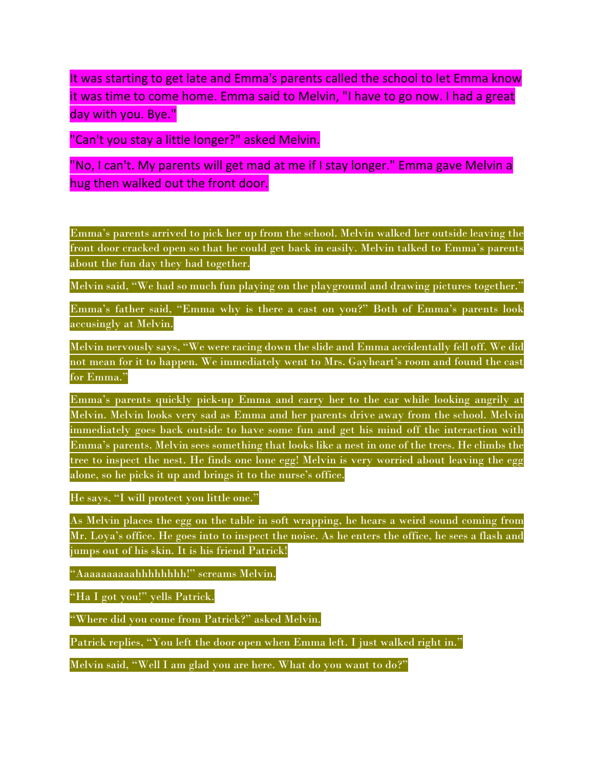It was starting to get late and Emma's parents called the school to let Emma know it was time to come home. Emma said to Melvin, "I have to go now. I had a great day with you. Bye."

"Can't you stay a little longer?" asked Melvin.

"No, I can't. My parents will get mad at me if I stay longer." Emma gave Melvin a hug then walked out the front door.

Emma's parents arrived to pick her up from the school. Melvin walked her outside leaving the front door cracked open so that he could get back in easily. Melvin talked to Emma's parents about the fun day they had together.

Melvin said, "We had so much fun playing on the playground and drawing pictures together."

Emma's father said, "Emma why is there a cast on you?" Both of Emma's parents look accusingly at Melvin.

Melvin nervously says, "We were racing down the slide and Emma accidentally fell off. We did not mean for it to happen. We immediately went to Mrs. Gayheart's room and found the cast for Emma."

Emma's parents quickly pick-up Emma and carry her to the car while looking angrily at Melvin. Melvin looks very sad as Emma and her parents drive away from the school. Melvin immediately goes back outside to have some fun and get his mind off the interaction with Emma's parents. Melvin sees something that looks like a nest in one of the trees. He climbs the tree to inspect the nest. He finds one lone egg! Melvin is very worried about leaving the egg alone, so he picks it up and brings it to the nurse's office.

He says, "I will protect you little one."

As Melvin places the egg on the table in soft wrapping, he hears a weird sound coming from Mr. Loya's office. He goes into to inspect the noise. As he enters the office, he sees a flash and jumps out of his skin. It is his friend Patrick!

"Aaaaaaaaaahhhhhhhh!" screams Melvin.

"Ha I got you!" yells Patrick.

"Where did you come from Patrick?" asked Melvin.

Patrick replies, "You left the door open when Emma left. I just walked right in."

Melvin said, "Well I am glad you are here. What do you want to do?"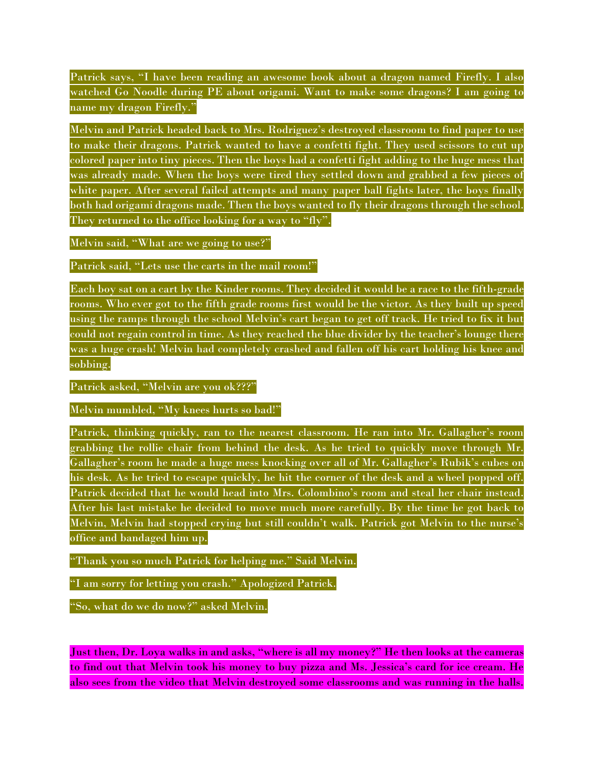Patrick says, "I have been reading an awesome book about a dragon named Firefly. I also watched Go Noodle during PE about origami. Want to make some dragons? I am going to name my dragon Firefly."

Melvin and Patrick headed back to Mrs. Rodriguez's destroyed classroom to find paper to use to make their dragons. Patrick wanted to have a confetti fight. They used scissors to cut up colored paper into tiny pieces. Then the boys had a confetti fight adding to the huge mess that was already made. When the boys were tired they settled down and grabbed a few pieces of white paper. After several failed attempts and many paper ball fights later, the boys finally both had origami dragons made. Then the boys wanted to fly their dragons through the school. They returned to the office looking for a way to "fly".

Melvin said, "What are we going to use?"

Patrick said, "Lets use the carts in the mail room!"

Each boy sat on a cart by the Kinder rooms. They decided it would be a race to the fifth-grade rooms. Who ever got to the fifth grade rooms first would be the victor. As they built up speed using the ramps through the school Melvin's cart began to get off track. He tried to fix it but could not regain control in time. As they reached the blue divider by the teacher's lounge there was a huge crash! Melvin had completely crashed and fallen off his cart holding his knee and sobbing.

Patrick asked, "Melvin are you ok???"

Melvin mumbled, "My knees hurts so bad!"

Patrick, thinking quickly, ran to the nearest classroom. He ran into Mr. Gallagher's room grabbing the rollie chair from behind the desk. As he tried to quickly move through Mr. Gallagher's room he made a huge mess knocking over all of Mr. Gallagher's Rubik's cubes on his desk. As he tried to escape quickly, he hit the corner of the desk and a wheel popped off. Patrick decided that he would head into Mrs. Colombino's room and steal her chair instead. After his last mistake he decided to move much more carefully. By the time he got back to Melvin, Melvin had stopped crying but still couldn't walk. Patrick got Melvin to the nurse's office and bandaged him up.

"Thank you so much Patrick for helping me." Said Melvin.

"I am sorry for letting you crash." Apologized Patrick.

"So, what do we do now?" asked Melvin.

Just then, Dr. Loya walks in and asks, "where is all my money?" He then looks at the cameras to find out that Melvin took his money to buy pizza and Ms. Jessica's card for ice cream. He also sees from the video that Melvin destroyed some classrooms and was running in the halls.